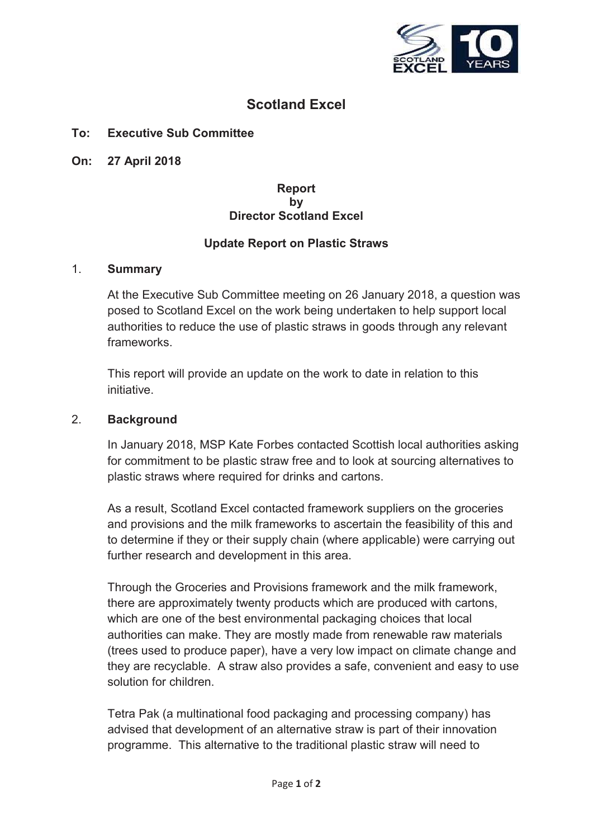

# **Scotland Excel**

# **To: Executive Sub Committee**

**On: 27 April 2018**

## **Report by Director Scotland Excel**

# **Update Report on Plastic Straws**

#### 1. **Summary**

At the Executive Sub Committee meeting on 26 January 2018, a question was posed to Scotland Excel on the work being undertaken to help support local authorities to reduce the use of plastic straws in goods through any relevant frameworks.

This report will provide an update on the work to date in relation to this initiative.

#### 2. **Background**

In January 2018, MSP Kate Forbes contacted Scottish local authorities asking for commitment to be plastic straw free and to look at sourcing alternatives to plastic straws where required for drinks and cartons.

As a result, Scotland Excel contacted framework suppliers on the groceries and provisions and the milk frameworks to ascertain the feasibility of this and to determine if they or their supply chain (where applicable) were carrying out further research and development in this area.

Through the Groceries and Provisions framework and the milk framework, there are approximately twenty products which are produced with cartons, which are one of the best environmental packaging choices that local authorities can make. They are mostly made from renewable raw materials (trees used to produce paper), have a very low impact on climate change and they are recyclable. A straw also provides a safe, convenient and easy to use solution for children.

Tetra Pak (a multinational food packaging and processing company) has advised that development of an alternative straw is part of their innovation programme. This alternative to the traditional plastic straw will need to